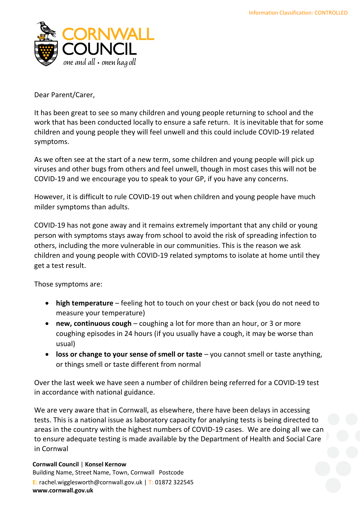

Dear Parent/Carer,

It has been great to see so many children and young people returning to school and the work that has been conducted locally to ensure a safe return. It is inevitable that for some children and young people they will feel unwell and this could include COVID-19 related symptoms.

As we often see at the start of a new term, some children and young people will pick up viruses and other bugs from others and feel unwell, though in most cases this will not be COVID-19 and we encourage you to speak to your GP, if you have any concerns.

However, it is difficult to rule COVID-19 out when children and young people have much milder symptoms than adults.

COVID-19 has not gone away and it remains extremely important that any child or young person with symptoms stays away from school to avoid the risk of spreading infection to others, including the more vulnerable in our communities. This is the reason we ask children and young people with COVID-19 related symptoms to isolate at home until they get a test result.

Those symptoms are:

- **high temperature** feeling hot to touch on your chest or back (you do not need to measure your temperature)
- **new, continuous cough** coughing a lot for more than an hour, or 3 or more coughing episodes in 24 hours (if you usually have a cough, it may be worse than usual)
- **loss or change to your sense of smell or taste** you cannot smell or taste anything, or things smell or taste different from normal

Over the last week we have seen a number of children being referred for a COVID-19 test in accordance with national guidance.

We are very aware that in Cornwall, as elsewhere, there have been delays in accessing tests. This is a national issue as laboratory capacity for analysing tests is being directed to areas in the country with the highest numbers of COVID-19 cases. We are doing all we can to ensure adequate testing is made available by the Department of Health and Social Care in Cornwal

**Cornwall Council** | **Konsel Kernow** Building Name, Street Name, Town, Cornwall Postcode **E:** rachel.wigglesworth@cornwall.gov.uk | T: 01872 322545 **www.cornwall.gov.uk**